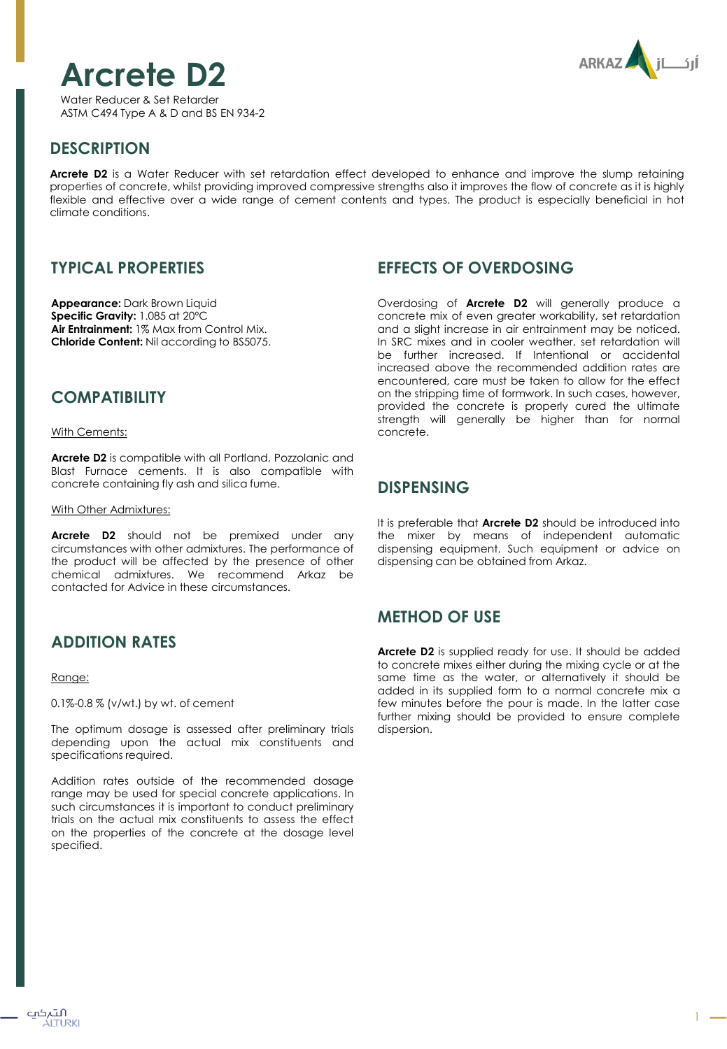

Water Reducer & Set Retarder ASTM C494 Type A & D and BS EN 934-2



## **DESCRIPTION**

**Arcrete D2** is a Water Reducer with set retardation effect developed to enhance and improve the slump retaining properties of concrete, whilst providing improved compressive strengths also it improves the flow of concrete as it is highly flexible and effective over a wide range of cement contents and types. The product is especially beneficial in hot climate conditions.

# **TYPICAL PROPERTIES**

**Appearance:** Dark Brown Liquid **Specific Gravity:** 1.085 at 20ºC **Air Entrainment:** 1% Max from Control Mix. **Chloride Content:** Nil according to BS5075.

## **COMPATIBILITY**

With Cements:

**Arcrete D2** is compatible with all Portland, Pozzolanic and Blast Furnace cements. It is also compatible with concrete containing fly ash and silica fume.

#### With Other Admixtures:

**Arcrete D2** should not be premixed under any circumstances with other admixtures. The performance of the product will be affected by the presence of other chemical admixtures. We recommend Arkaz be contacted for Advice in these circumstances.

# **ADDITION RATES**

#### Range:

0.1%-0.8 % (v/wt.) by wt. of cement

The optimum dosage is assessed after preliminary trials depending upon the actual mix constituents and specifications required.

Addition rates outside of the recommended dosage range may be used for special concrete applications. In such circumstances it is important to conduct preliminary trials on the actual mix constituents to assess the effect on the properties of the concrete at the dosage level specified.

## **EFFECTS OF OVERDOSING**

Overdosing of **Arcrete D2** will generally produce a concrete mix of even greater workability, set retardation and a slight increase in air entrainment may be noticed. In SRC mixes and in cooler weather, set retardation will be further increased. If Intentional or accidental increased above the recommended addition rates are encountered, care must be taken to allow for the effect on the stripping time of formwork. In such cases, however, provided the concrete is properly cured the ultimate strength will generally be higher than for normal concrete.

#### **DISPENSING**

It is preferable that **Arcrete D2** should be introduced into the mixer by means of independent automatic dispensing equipment. Such equipment or advice on dispensing can be obtained from Arkaz.

# **METHOD OF USE**

**Arcrete D2** is supplied ready for use. It should be added to concrete mixes either during the mixing cycle or at the same time as the water, or alternatively it should be added in its supplied form to a normal concrete mix a few minutes before the pour is made. In the latter case further mixing should be provided to ensure complete dispersion.